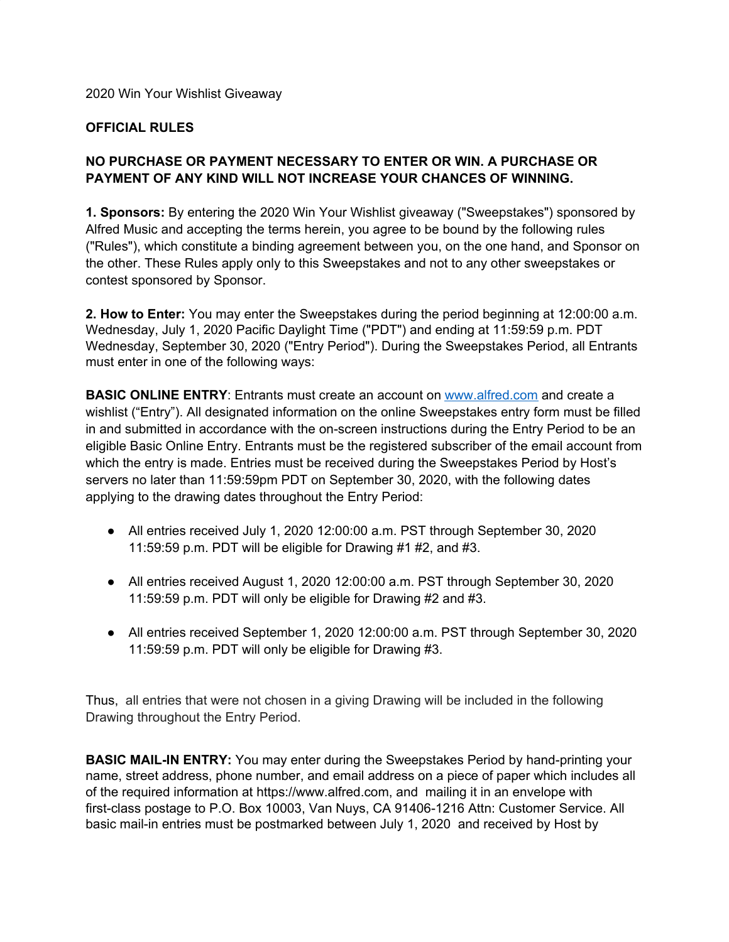#### 2020 Win Your Wishlist Giveaway

#### **OFFICIAL RULES**

# **NO PURCHASE OR PAYMENT NECESSARY TO ENTER OR WIN. A PURCHASE OR PAYMENT OF ANY KIND WILL NOT INCREASE YOUR CHANCES OF WINNING.**

**1. Sponsors:** By entering the 2020 Win Your Wishlist giveaway ("Sweepstakes") sponsored by Alfred Music and accepting the terms herein, you agree to be bound by the following rules ("Rules"), which constitute a binding agreement between you, on the one hand, and Sponsor on the other. These Rules apply only to this Sweepstakes and not to any other sweepstakes or contest sponsored by Sponsor.

**2. How to Enter:** You may enter the Sweepstakes during the period beginning at 12:00:00 a.m. Wednesday, July 1, 2020 Pacific Daylight Time ("PDT") and ending at 11:59:59 p.m. PDT Wednesday, September 30, 2020 ("Entry Period"). During the Sweepstakes Period, all Entrants must enter in one of the following ways:

**BASIC ONLINE ENTRY**: Entrants must create an account on [www.alfred.com](http://www.alfred.com/) and create a wishlist ("Entry"). All designated information on the online Sweepstakes entry form must be filled in and submitted in accordance with the on-screen instructions during the Entry Period to be an eligible Basic Online Entry. Entrants must be the registered subscriber of the email account from which the entry is made. Entries must be received during the Sweepstakes Period by Host's servers no later than 11:59:59pm PDT on September 30, 2020, with the following dates applying to the drawing dates throughout the Entry Period:

- All entries received July 1, 2020 12:00:00 a.m. PST through September 30, 2020 11:59:59 p.m. PDT will be eligible for Drawing #1 #2, and #3.
- All entries received August 1, 2020 12:00:00 a.m. PST through September 30, 2020 11:59:59 p.m. PDT will only be eligible for Drawing #2 and #3.
- All entries received September 1, 2020 12:00:00 a.m. PST through September 30, 2020 11:59:59 p.m. PDT will only be eligible for Drawing #3.

Thus, all entries that were not chosen in a giving Drawing will be included in the following Drawing throughout the Entry Period.

**BASIC MAIL-IN ENTRY:** You may enter during the Sweepstakes Period by hand-printing your name, street address, phone number, and email address on a piece of paper which includes all of the required information at https://www.alfred.com, and mailing it in an envelope with first-class postage to P.O. Box 10003, Van Nuys, CA 91406-1216 Attn: Customer Service. All basic mail-in entries must be postmarked between July 1, 2020 and received by Host by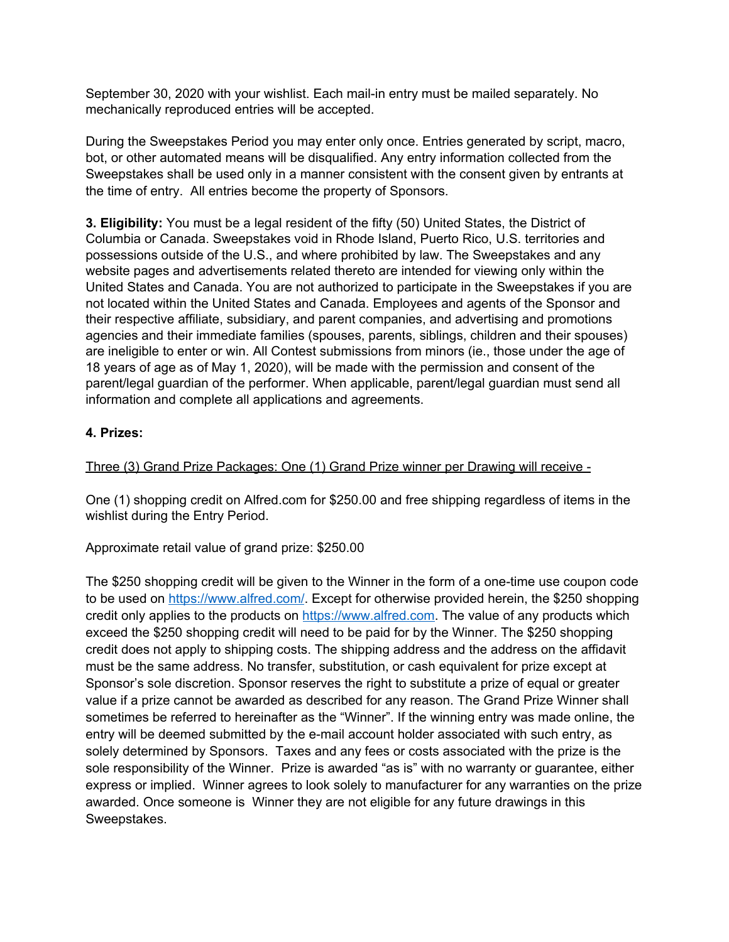September 30, 2020 with your wishlist. Each mail-in entry must be mailed separately. No mechanically reproduced entries will be accepted.

During the Sweepstakes Period you may enter only once. Entries generated by script, macro, bot, or other automated means will be disqualified. Any entry information collected from the Sweepstakes shall be used only in a manner consistent with the consent given by entrants at the time of entry. All entries become the property of Sponsors.

**3. Eligibility:** You must be a legal resident of the fifty (50) United States, the District of Columbia or Canada. Sweepstakes void in Rhode Island, Puerto Rico, U.S. territories and possessions outside of the U.S., and where prohibited by law. The Sweepstakes and any website pages and advertisements related thereto are intended for viewing only within the United States and Canada. You are not authorized to participate in the Sweepstakes if you are not located within the United States and Canada. Employees and agents of the Sponsor and their respective affiliate, subsidiary, and parent companies, and advertising and promotions agencies and their immediate families (spouses, parents, siblings, children and their spouses) are ineligible to enter or win. All Contest submissions from minors (ie., those under the age of 18 years of age as of May 1, 2020), will be made with the permission and consent of the parent/legal guardian of the performer. When applicable, parent/legal guardian must send all information and complete all applications and agreements.

# **4. Prizes:**

Three (3) Grand Prize Packages: One (1) Grand Prize winner per Drawing will receive -

One (1) shopping credit on Alfred.com for \$250.00 and free shipping regardless of items in the wishlist during the Entry Period.

Approximate retail value of grand prize: \$250.00

The \$250 shopping credit will be given to the Winner in the form of a one-time use coupon code to be used on [https://www.alfred.com/.](https://www.alfred.com/) Except for otherwise provided herein, the \$250 shopping credit only applies to the products on [https://www.alfred.com](https://www.alfred.com/). The value of any products which exceed the \$250 shopping credit will need to be paid for by the Winner. The \$250 shopping credit does not apply to shipping costs. The shipping address and the address on the affidavit must be the same address. No transfer, substitution, or cash equivalent for prize except at Sponsor's sole discretion. Sponsor reserves the right to substitute a prize of equal or greater value if a prize cannot be awarded as described for any reason. The Grand Prize Winner shall sometimes be referred to hereinafter as the "Winner". If the winning entry was made online, the entry will be deemed submitted by the e-mail account holder associated with such entry, as solely determined by Sponsors. Taxes and any fees or costs associated with the prize is the sole responsibility of the Winner. Prize is awarded "as is" with no warranty or guarantee, either express or implied. Winner agrees to look solely to manufacturer for any warranties on the prize awarded. Once someone is Winner they are not eligible for any future drawings in this Sweepstakes.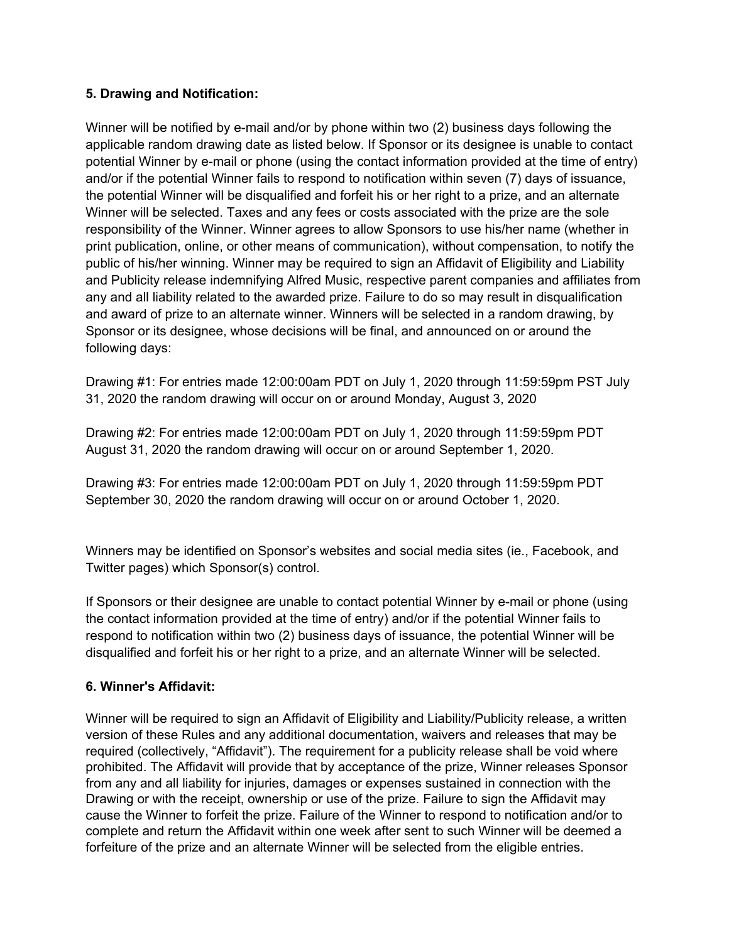#### **5. Drawing and Notification:**

Winner will be notified by e-mail and/or by phone within two (2) business days following the applicable random drawing date as listed below. If Sponsor or its designee is unable to contact potential Winner by e-mail or phone (using the contact information provided at the time of entry) and/or if the potential Winner fails to respond to notification within seven (7) days of issuance, the potential Winner will be disqualified and forfeit his or her right to a prize, and an alternate Winner will be selected. Taxes and any fees or costs associated with the prize are the sole responsibility of the Winner. Winner agrees to allow Sponsors to use his/her name (whether in print publication, online, or other means of communication), without compensation, to notify the public of his/her winning. Winner may be required to sign an Affidavit of Eligibility and Liability and Publicity release indemnifying Alfred Music, respective parent companies and affiliates from any and all liability related to the awarded prize. Failure to do so may result in disqualification and award of prize to an alternate winner. Winners will be selected in a random drawing, by Sponsor or its designee, whose decisions will be final, and announced on or around the following days:

Drawing #1: For entries made 12:00:00am PDT on July 1, 2020 through 11:59:59pm PST July 31, 2020 the random drawing will occur on or around Monday, August 3, 2020

Drawing #2: For entries made 12:00:00am PDT on July 1, 2020 through 11:59:59pm PDT August 31, 2020 the random drawing will occur on or around September 1, 2020.

Drawing #3: For entries made 12:00:00am PDT on July 1, 2020 through 11:59:59pm PDT September 30, 2020 the random drawing will occur on or around October 1, 2020.

Winners may be identified on Sponsor's websites and social media sites (ie., Facebook, and Twitter pages) which Sponsor(s) control.

If Sponsors or their designee are unable to contact potential Winner by e-mail or phone (using the contact information provided at the time of entry) and/or if the potential Winner fails to respond to notification within two (2) business days of issuance, the potential Winner will be disqualified and forfeit his or her right to a prize, and an alternate Winner will be selected.

# **6. Winner's Affidavit:**

Winner will be required to sign an Affidavit of Eligibility and Liability/Publicity release, a written version of these Rules and any additional documentation, waivers and releases that may be required (collectively, "Affidavit"). The requirement for a publicity release shall be void where prohibited. The Affidavit will provide that by acceptance of the prize, Winner releases Sponsor from any and all liability for injuries, damages or expenses sustained in connection with the Drawing or with the receipt, ownership or use of the prize. Failure to sign the Affidavit may cause the Winner to forfeit the prize. Failure of the Winner to respond to notification and/or to complete and return the Affidavit within one week after sent to such Winner will be deemed a forfeiture of the prize and an alternate Winner will be selected from the eligible entries.